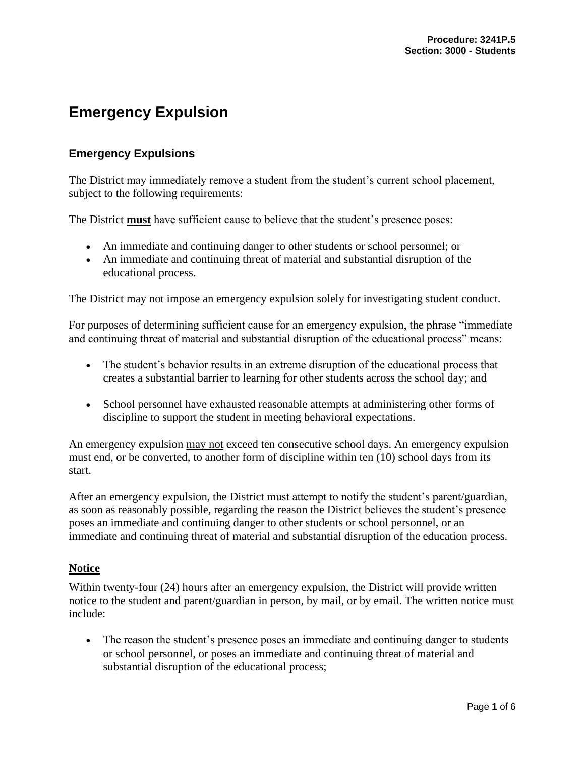# **Emergency Expulsion**

# **Emergency Expulsions**

The District may immediately remove a student from the student's current school placement, subject to the following requirements:

The District **must** have sufficient cause to believe that the student's presence poses:

- An immediate and continuing danger to other students or school personnel; or
- An immediate and continuing threat of material and substantial disruption of the educational process.

The District may not impose an emergency expulsion solely for investigating student conduct.

For purposes of determining sufficient cause for an emergency expulsion, the phrase "immediate and continuing threat of material and substantial disruption of the educational process" means:

- The student's behavior results in an extreme disruption of the educational process that creates a substantial barrier to learning for other students across the school day; and
- School personnel have exhausted reasonable attempts at administering other forms of discipline to support the student in meeting behavioral expectations.

An emergency expulsion may not exceed ten consecutive school days. An emergency expulsion must end, or be converted, to another form of discipline within ten (10) school days from its start.

After an emergency expulsion, the District must attempt to notify the student's parent/guardian, as soon as reasonably possible, regarding the reason the District believes the student's presence poses an immediate and continuing danger to other students or school personnel, or an immediate and continuing threat of material and substantial disruption of the education process.

### **Notice**

Within twenty-four (24) hours after an emergency expulsion, the District will provide written notice to the student and parent/guardian in person, by mail, or by email. The written notice must include:

• The reason the student's presence poses an immediate and continuing danger to students or school personnel, or poses an immediate and continuing threat of material and substantial disruption of the educational process;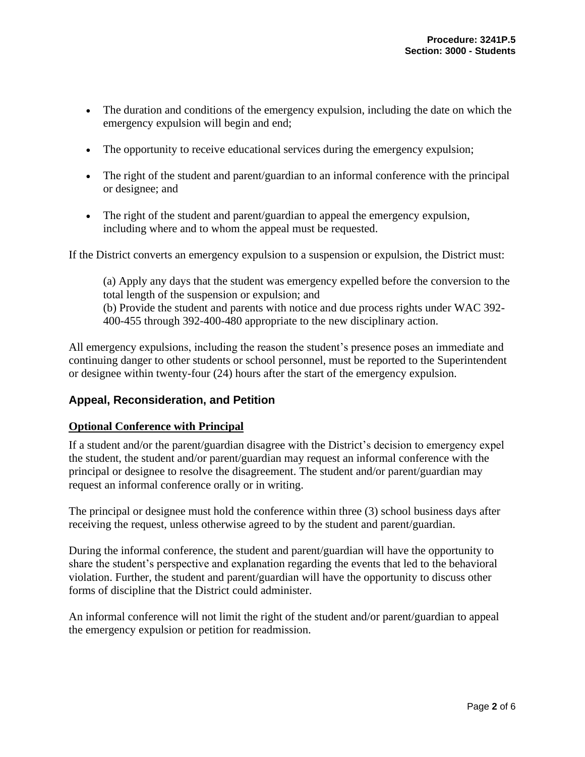- The duration and conditions of the emergency expulsion, including the date on which the emergency expulsion will begin and end;
- The opportunity to receive educational services during the emergency expulsion;
- The right of the student and parent/guardian to an informal conference with the principal or designee; and
- The right of the student and parent/guardian to appeal the emergency expulsion, including where and to whom the appeal must be requested.

If the District converts an emergency expulsion to a suspension or expulsion, the District must:

(a) Apply any days that the student was emergency expelled before the conversion to the total length of the suspension or expulsion; and (b) Provide the student and parents with notice and due process rights under WAC 392- 400-455 through 392-400-480 appropriate to the new disciplinary action.

All emergency expulsions, including the reason the student's presence poses an immediate and continuing danger to other students or school personnel, must be reported to the Superintendent or designee within twenty-four (24) hours after the start of the emergency expulsion.

## **Appeal, Reconsideration, and Petition**

## **Optional Conference with Principal**

If a student and/or the parent/guardian disagree with the District's decision to emergency expel the student, the student and/or parent/guardian may request an informal conference with the principal or designee to resolve the disagreement. The student and/or parent/guardian may request an informal conference orally or in writing.

The principal or designee must hold the conference within three (3) school business days after receiving the request, unless otherwise agreed to by the student and parent/guardian.

During the informal conference, the student and parent/guardian will have the opportunity to share the student's perspective and explanation regarding the events that led to the behavioral violation. Further, the student and parent/guardian will have the opportunity to discuss other forms of discipline that the District could administer.

An informal conference will not limit the right of the student and/or parent/guardian to appeal the emergency expulsion or petition for readmission.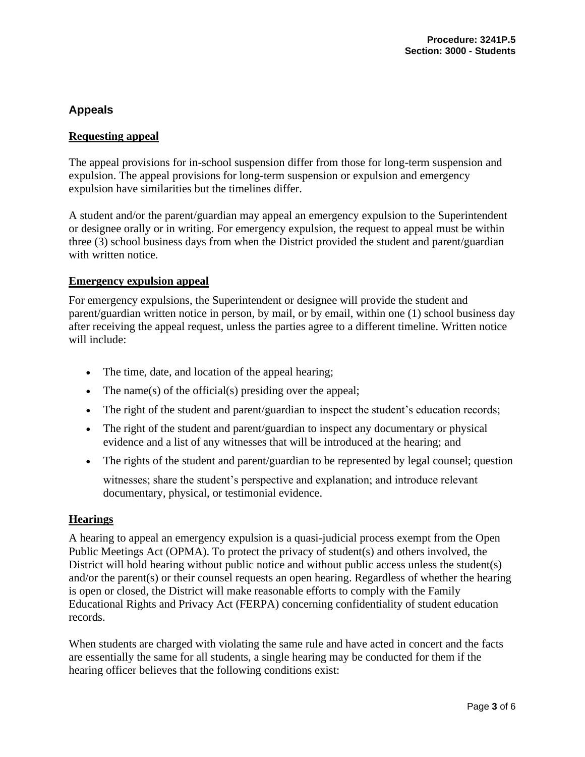# **Appeals**

## **Requesting appeal**

The appeal provisions for in-school suspension differ from those for long-term suspension and expulsion. The appeal provisions for long-term suspension or expulsion and emergency expulsion have similarities but the timelines differ.

A student and/or the parent/guardian may appeal an emergency expulsion to the Superintendent or designee orally or in writing. For emergency expulsion, the request to appeal must be within three (3) school business days from when the District provided the student and parent/guardian with written notice.

### **Emergency expulsion appeal**

For emergency expulsions, the Superintendent or designee will provide the student and parent/guardian written notice in person, by mail, or by email, within one (1) school business day after receiving the appeal request, unless the parties agree to a different timeline. Written notice will include:

- The time, date, and location of the appeal hearing;
- The name(s) of the official(s) presiding over the appeal;
- The right of the student and parent/guardian to inspect the student's education records;
- The right of the student and parent/guardian to inspect any documentary or physical evidence and a list of any witnesses that will be introduced at the hearing; and
- The rights of the student and parent/guardian to be represented by legal counsel; question

witnesses; share the student's perspective and explanation; and introduce relevant documentary, physical, or testimonial evidence.

### **Hearings**

A hearing to appeal an emergency expulsion is a quasi-judicial process exempt from the Open Public Meetings Act (OPMA). To protect the privacy of student(s) and others involved, the District will hold hearing without public notice and without public access unless the student(s) and/or the parent(s) or their counsel requests an open hearing. Regardless of whether the hearing is open or closed, the District will make reasonable efforts to comply with the Family Educational Rights and Privacy Act (FERPA) concerning confidentiality of student education records.

When students are charged with violating the same rule and have acted in concert and the facts are essentially the same for all students, a single hearing may be conducted for them if the hearing officer believes that the following conditions exist: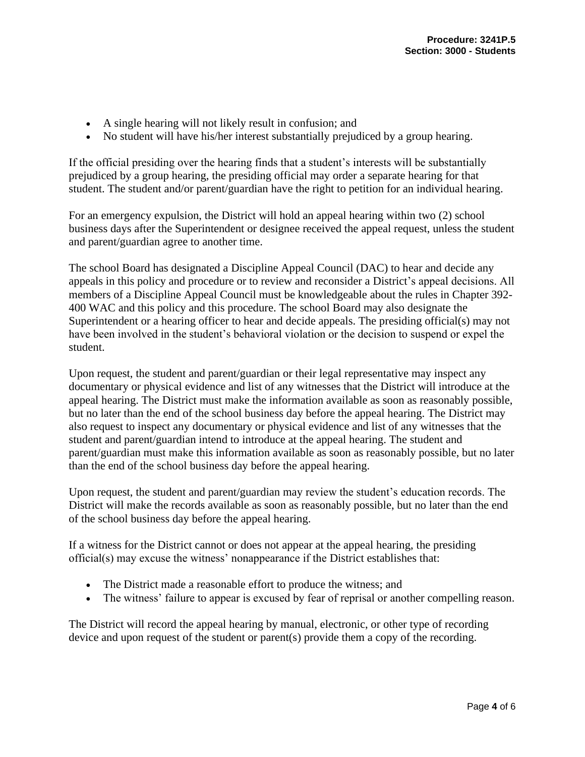- A single hearing will not likely result in confusion; and
- No student will have his/her interest substantially prejudiced by a group hearing.

If the official presiding over the hearing finds that a student's interests will be substantially prejudiced by a group hearing, the presiding official may order a separate hearing for that student. The student and/or parent/guardian have the right to petition for an individual hearing.

For an emergency expulsion, the District will hold an appeal hearing within two (2) school business days after the Superintendent or designee received the appeal request, unless the student and parent/guardian agree to another time.

The school Board has designated a Discipline Appeal Council (DAC) to hear and decide any appeals in this policy and procedure or to review and reconsider a District's appeal decisions. All members of a Discipline Appeal Council must be knowledgeable about the rules in Chapter 392- 400 WAC and this policy and this procedure. The school Board may also designate the Superintendent or a hearing officer to hear and decide appeals. The presiding official(s) may not have been involved in the student's behavioral violation or the decision to suspend or expel the student.

Upon request, the student and parent/guardian or their legal representative may inspect any documentary or physical evidence and list of any witnesses that the District will introduce at the appeal hearing. The District must make the information available as soon as reasonably possible, but no later than the end of the school business day before the appeal hearing. The District may also request to inspect any documentary or physical evidence and list of any witnesses that the student and parent/guardian intend to introduce at the appeal hearing. The student and parent/guardian must make this information available as soon as reasonably possible, but no later than the end of the school business day before the appeal hearing.

Upon request, the student and parent/guardian may review the student's education records. The District will make the records available as soon as reasonably possible, but no later than the end of the school business day before the appeal hearing.

If a witness for the District cannot or does not appear at the appeal hearing, the presiding official(s) may excuse the witness' nonappearance if the District establishes that:

- The District made a reasonable effort to produce the witness; and
- The witness' failure to appear is excused by fear of reprisal or another compelling reason.

The District will record the appeal hearing by manual, electronic, or other type of recording device and upon request of the student or parent(s) provide them a copy of the recording.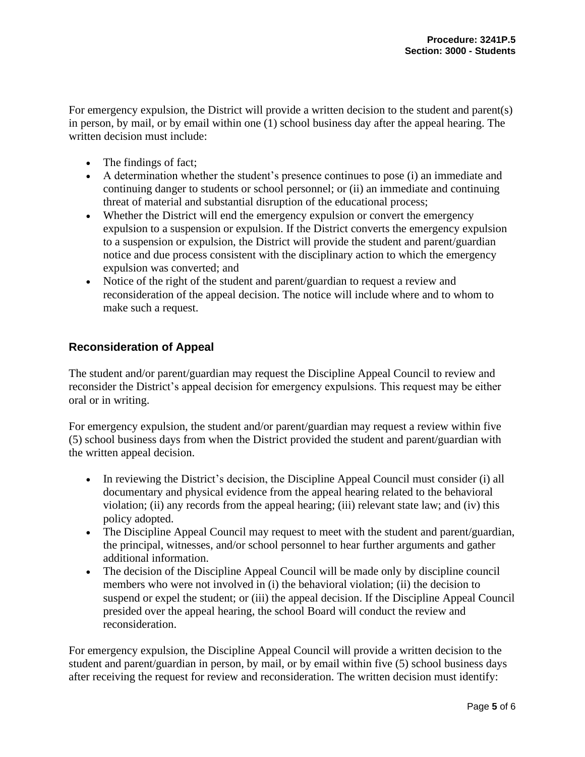For emergency expulsion, the District will provide a written decision to the student and parent(s) in person, by mail, or by email within one (1) school business day after the appeal hearing. The written decision must include:

- The findings of fact;
- A determination whether the student's presence continues to pose (i) an immediate and continuing danger to students or school personnel; or (ii) an immediate and continuing threat of material and substantial disruption of the educational process;
- Whether the District will end the emergency expulsion or convert the emergency expulsion to a suspension or expulsion. If the District converts the emergency expulsion to a suspension or expulsion, the District will provide the student and parent/guardian notice and due process consistent with the disciplinary action to which the emergency expulsion was converted; and
- Notice of the right of the student and parent/guardian to request a review and reconsideration of the appeal decision. The notice will include where and to whom to make such a request.

## **Reconsideration of Appeal**

The student and/or parent/guardian may request the Discipline Appeal Council to review and reconsider the District's appeal decision for emergency expulsions. This request may be either oral or in writing.

For emergency expulsion, the student and/or parent/guardian may request a review within five (5) school business days from when the District provided the student and parent/guardian with the written appeal decision.

- In reviewing the District's decision, the Discipline Appeal Council must consider (i) all documentary and physical evidence from the appeal hearing related to the behavioral violation; (ii) any records from the appeal hearing; (iii) relevant state law; and (iv) this policy adopted.
- The Discipline Appeal Council may request to meet with the student and parent/guardian, the principal, witnesses, and/or school personnel to hear further arguments and gather additional information.
- The decision of the Discipline Appeal Council will be made only by discipline council members who were not involved in (i) the behavioral violation; (ii) the decision to suspend or expel the student; or (iii) the appeal decision. If the Discipline Appeal Council presided over the appeal hearing, the school Board will conduct the review and reconsideration.

For emergency expulsion, the Discipline Appeal Council will provide a written decision to the student and parent/guardian in person, by mail, or by email within five (5) school business days after receiving the request for review and reconsideration. The written decision must identify: